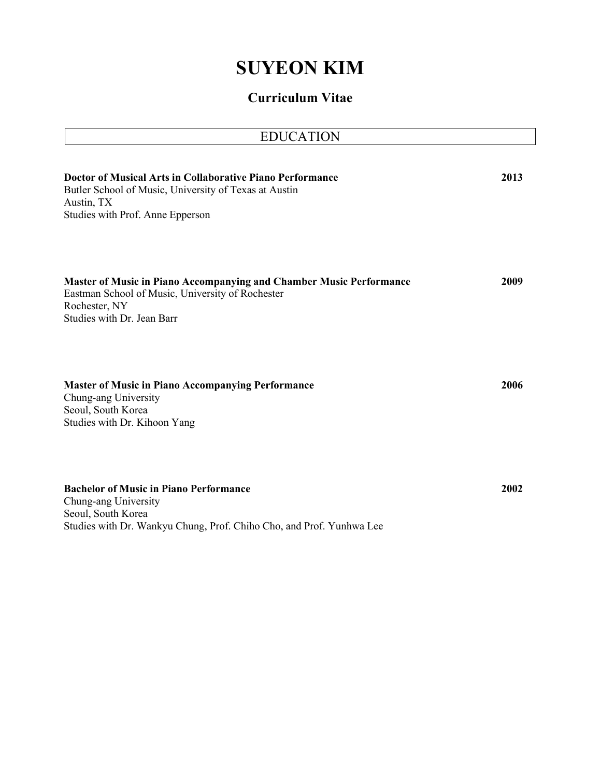# **SUYEON KIM**

# **Curriculum Vitae**

| <b>EDUCATION</b>                                                                                                                                                              |      |
|-------------------------------------------------------------------------------------------------------------------------------------------------------------------------------|------|
| Doctor of Musical Arts in Collaborative Piano Performance<br>Butler School of Music, University of Texas at Austin<br>Austin, TX<br>Studies with Prof. Anne Epperson          | 2013 |
| <b>Master of Music in Piano Accompanying and Chamber Music Performance</b><br>Eastman School of Music, University of Rochester<br>Rochester, NY<br>Studies with Dr. Jean Barr | 2009 |
| <b>Master of Music in Piano Accompanying Performance</b><br>Chung-ang University<br>Seoul, South Korea<br>Studies with Dr. Kihoon Yang                                        | 2006 |
| <b>Bachelor of Music in Piano Performance</b><br>Chung-ang University<br>Seoul, South Korea<br>Studies with Dr. Wankyu Chung, Prof. Chiho Cho, and Prof. Yunhwa Lee           | 2002 |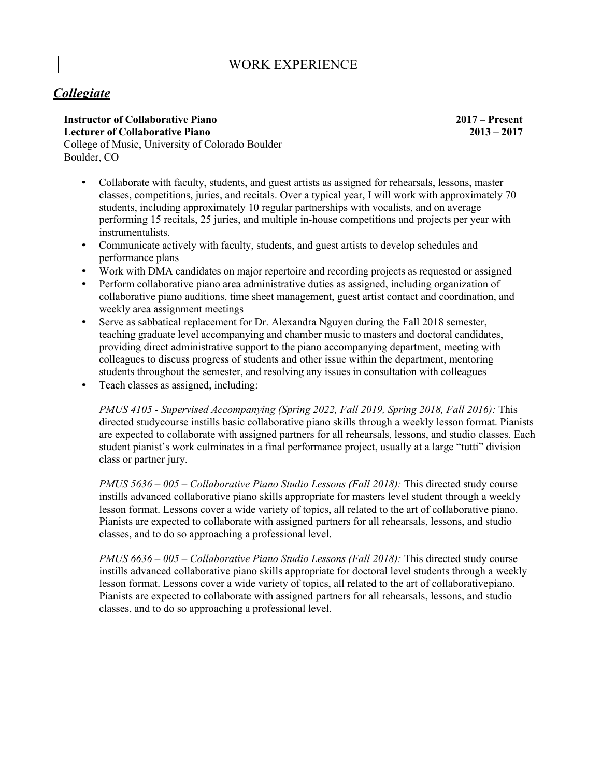# *Collegiate*

**Instructor of Collaborative Piano 2017 – Present Lecturer of Collaborative Piano 2013 – 2017** College of Music, University of Colorado Boulder Boulder, CO

• Collaborate with faculty, students, and guest artists as assigned for rehearsals, lessons, master classes, competitions, juries, and recitals. Over a typical year, I will work with approximately 70 students, including approximately 10 regular partnerships with vocalists, and on average performing 15 recitals, 25 juries, and multiple in-house competitions and projects per year with instrumentalists.

- Communicate actively with faculty, students, and guest artists to develop schedules and performance plans
- Work with DMA candidates on major repertoire and recording projects as requested or assigned
- Perform collaborative piano area administrative duties as assigned, including organization of collaborative piano auditions, time sheet management, guest artist contact and coordination, and weekly area assignment meetings
- Serve as sabbatical replacement for Dr. Alexandra Nguyen during the Fall 2018 semester, teaching graduate level accompanying and chamber music to masters and doctoral candidates, providing direct administrative support to the piano accompanying department, meeting with colleagues to discuss progress of students and other issue within the department, mentoring students throughout the semester, and resolving any issues in consultation with colleagues
- Teach classes as assigned, including:

*PMUS 4105 - Supervised Accompanying (Spring 2022, Fall 2019, Spring 2018, Fall 2016):* This directed studycourse instills basic collaborative piano skills through a weekly lesson format. Pianists are expected to collaborate with assigned partners for all rehearsals, lessons, and studio classes. Each student pianist's work culminates in a final performance project, usually at a large "tutti" division class or partner jury.

*PMUS 5636 – 005 – Collaborative Piano Studio Lessons (Fall 2018):* This directed study course instills advanced collaborative piano skills appropriate for masters level student through a weekly lesson format. Lessons cover a wide variety of topics, all related to the art of collaborative piano. Pianists are expected to collaborate with assigned partners for all rehearsals, lessons, and studio classes, and to do so approaching a professional level.

*PMUS 6636 – 005 – Collaborative Piano Studio Lessons (Fall 2018):* This directed study course instills advanced collaborative piano skills appropriate for doctoral level students through a weekly lesson format. Lessons cover a wide variety of topics, all related to the art of collaborativepiano. Pianists are expected to collaborate with assigned partners for all rehearsals, lessons, and studio classes, and to do so approaching a professional level.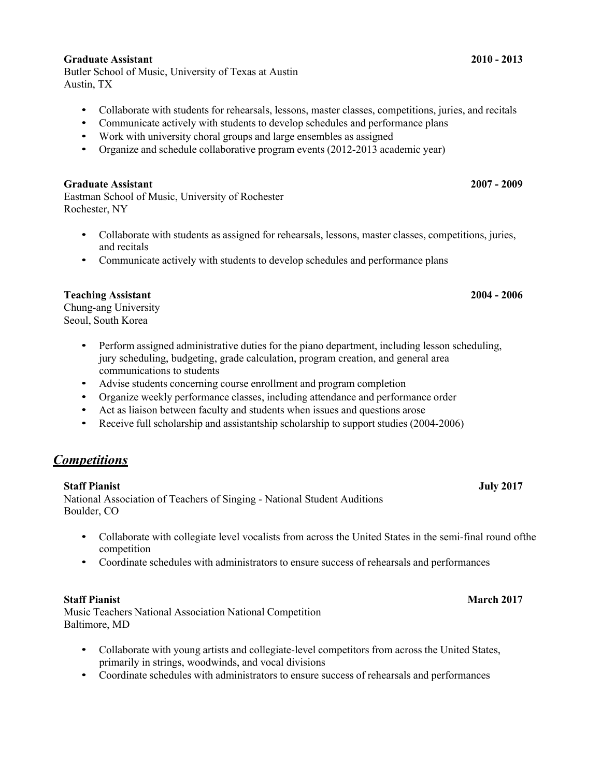### **Graduate Assistant 2010 - 2013**

Butler School of Music, University of Texas at Austin Austin, TX

- Collaborate with students for rehearsals, lessons, master classes, competitions, juries, and recitals
- Communicate actively with students to develop schedules and performance plans
- Work with university choral groups and large ensembles as assigned
- Organize and schedule collaborative program events (2012-2013 academic year)

### **Graduate Assistant 2007 - 2009**

Eastman School of Music, University of Rochester Rochester, NY

- Collaborate with students as assigned for rehearsals, lessons, master classes, competitions, juries, and recitals
- Communicate actively with students to develop schedules and performance plans

### **Teaching Assistant 2004 - 2006**

Chung-ang University Seoul, South Korea

- Perform assigned administrative duties for the piano department, including lesson scheduling, jury scheduling, budgeting, grade calculation, program creation, and general area communications to students
- Advise students concerning course enrollment and program completion
- Organize weekly performance classes, including attendance and performance order
- Act as liaison between faculty and students when issues and questions arose
- Receive full scholarship and assistantship scholarship to support studies (2004-2006)

# *Competitions*

### **Staff Pianist July 2017**

National Association of Teachers of Singing - National Student Auditions Boulder, CO

- Collaborate with collegiate level vocalists from across the United States in the semi-final round ofthe competition
- Coordinate schedules with administrators to ensure success of rehearsals and performances

Music Teachers National Association National Competition Baltimore, MD

- Collaborate with young artists and collegiate-level competitors from across the United States, primarily in strings, woodwinds, and vocal divisions
- Coordinate schedules with administrators to ensure success of rehearsals and performances

# **Staff Pianist March 2017**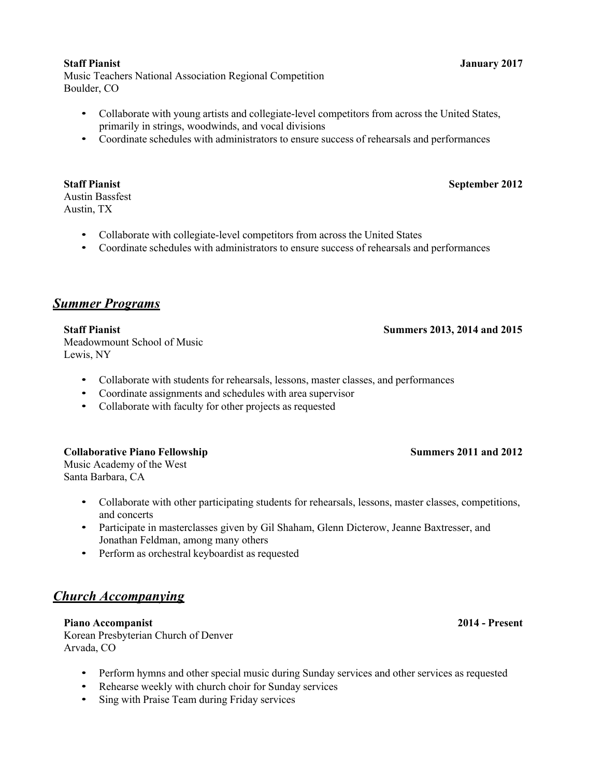### **Staff Pianist January 2017**

Music Teachers National Association Regional Competition Boulder, CO

- Collaborate with young artists and collegiate-level competitors from across the United States, primarily in strings, woodwinds, and vocal divisions
- Coordinate schedules with administrators to ensure success of rehearsals and performances

# Austin Bassfest

Austin, TX

- Collaborate with collegiate-level competitors from across the United States
- Coordinate schedules with administrators to ensure success of rehearsals and performances

# *Summer Programs*

**Staff Pianist Summers 2013, 2014 and 2015** Meadowmount School of Music Lewis, NY

- Collaborate with students for rehearsals, lessons, master classes, and performances
- Coordinate assignments and schedules with area supervisor
- Collaborate with faculty for other projects as requested

## **Collaborative Piano Fellowship Summers 2011 and 2012**

Music Academy of the West Santa Barbara, CA

- Collaborate with other participating students for rehearsals, lessons, master classes, competitions, and concerts
- Participate in master classes given by Gil Shaham, Glenn Dicterow, Jeanne Baxtresser, and Jonathan Feldman, among many others
- Perform as orchestral keyboardist as requested

# *Church Accompanying*

**Piano Accompanist 2014 - Present** Korean Presbyterian Church of Denver Arvada, CO

- Perform hymns and other special music during Sunday services and other services as requested
- Rehearse weekly with church choir for Sunday services
- Sing with Praise Team during Friday services

# **Staff Pianist September 2012**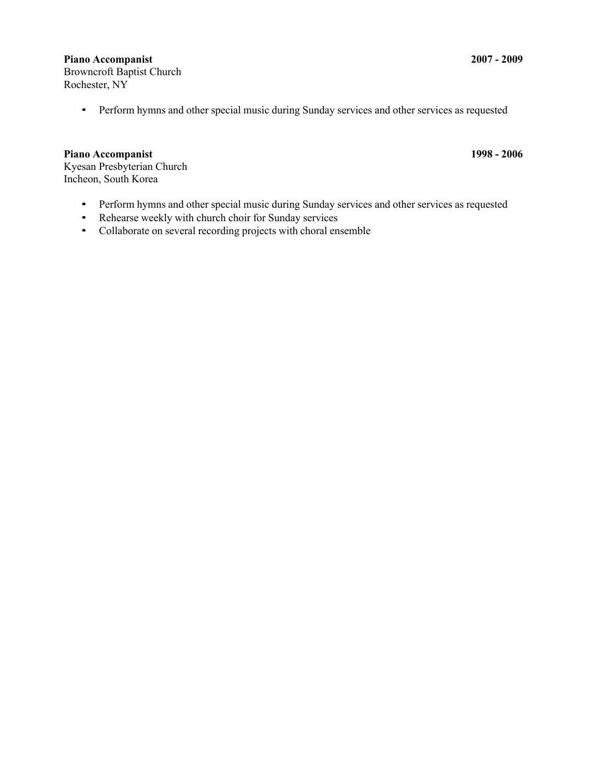### **Piano Accompanist 2007 - 2009**

Browncroft Baptist Church Rochester, NY

• Perform hymns and other special music during Sunday services and other services as requested

### **Piano Accompanist 1998 - 2006**

Kyesan Presbyterian Church Incheon, South Korea

- Perform hymns and other special music during Sunday services and other services as requested
- Rehearse weekly with church choir for Sunday services
- Collaborate on several recording projects with choral ensemble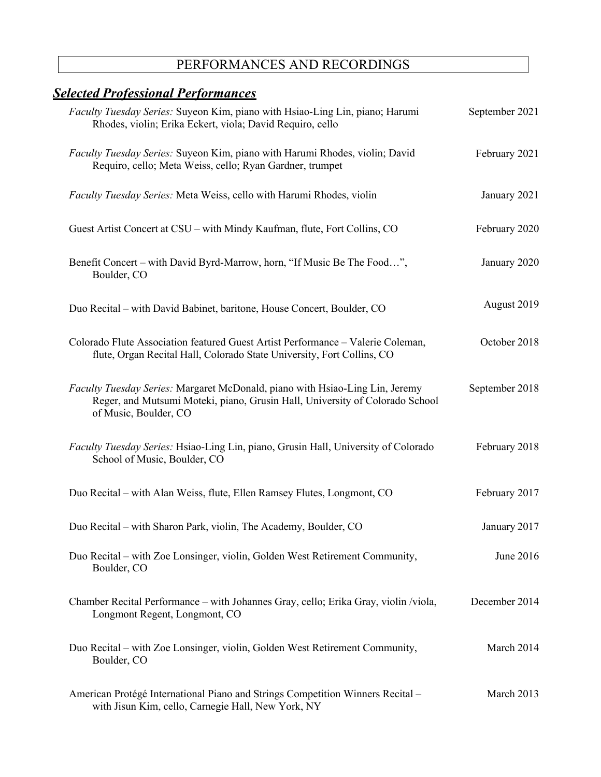# PERFORMANCES AND RECORDINGS

| <u><b>Selected Professional Performances</b></u>                                                                                                                                      |                |
|---------------------------------------------------------------------------------------------------------------------------------------------------------------------------------------|----------------|
| Faculty Tuesday Series: Suyeon Kim, piano with Hsiao-Ling Lin, piano; Harumi<br>Rhodes, violin; Erika Eckert, viola; David Requiro, cello                                             | September 2021 |
| Faculty Tuesday Series: Suyeon Kim, piano with Harumi Rhodes, violin; David<br>Requiro, cello; Meta Weiss, cello; Ryan Gardner, trumpet                                               | February 2021  |
| Faculty Tuesday Series: Meta Weiss, cello with Harumi Rhodes, violin                                                                                                                  | January 2021   |
| Guest Artist Concert at CSU – with Mindy Kaufman, flute, Fort Collins, CO                                                                                                             | February 2020  |
| Benefit Concert – with David Byrd-Marrow, horn, "If Music Be The Food",<br>Boulder, CO                                                                                                | January 2020   |
| Duo Recital – with David Babinet, baritone, House Concert, Boulder, CO                                                                                                                | August 2019    |
| Colorado Flute Association featured Guest Artist Performance - Valerie Coleman,<br>flute, Organ Recital Hall, Colorado State University, Fort Collins, CO                             | October 2018   |
| Faculty Tuesday Series: Margaret McDonald, piano with Hsiao-Ling Lin, Jeremy<br>Reger, and Mutsumi Moteki, piano, Grusin Hall, University of Colorado School<br>of Music, Boulder, CO | September 2018 |
| Faculty Tuesday Series: Hsiao-Ling Lin, piano, Grusin Hall, University of Colorado<br>School of Music, Boulder, CO                                                                    | February 2018  |
| Duo Recital – with Alan Weiss, flute, Ellen Ramsey Flutes, Longmont, CO                                                                                                               | February 2017  |
| Duo Recital - with Sharon Park, violin, The Academy, Boulder, CO                                                                                                                      | January 2017   |
| Duo Recital – with Zoe Lonsinger, violin, Golden West Retirement Community,<br>Boulder, CO                                                                                            | June 2016      |
| Chamber Recital Performance – with Johannes Gray, cello; Erika Gray, violin /viola,<br>Longmont Regent, Longmont, CO                                                                  | December 2014  |
| Duo Recital – with Zoe Lonsinger, violin, Golden West Retirement Community,<br>Boulder, CO                                                                                            | March 2014     |
| American Protégé International Piano and Strings Competition Winners Recital -<br>with Jisun Kim, cello, Carnegie Hall, New York, NY                                                  | March 2013     |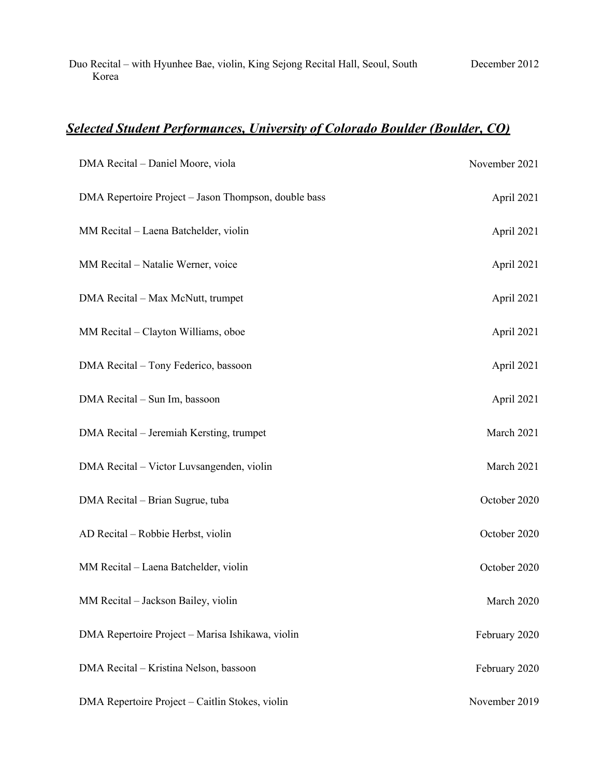Duo Recital – with Hyunhee Bae, violin, King Sejong Recital Hall, Seoul, South Korea December 2012

# *Selected Student Performances, University of Colorado Boulder (Boulder, CO)*

| DMA Recital - Daniel Moore, viola                    | November 2021 |
|------------------------------------------------------|---------------|
| DMA Repertoire Project - Jason Thompson, double bass | April 2021    |
| MM Recital - Laena Batchelder, violin                | April 2021    |
| MM Recital - Natalie Werner, voice                   | April 2021    |
| DMA Recital - Max McNutt, trumpet                    | April 2021    |
| MM Recital - Clayton Williams, oboe                  | April 2021    |
| DMA Recital - Tony Federico, bassoon                 | April 2021    |
| DMA Recital - Sun Im, bassoon                        | April 2021    |
| DMA Recital - Jeremiah Kersting, trumpet             | March 2021    |
| DMA Recital - Victor Luvsangenden, violin            | March 2021    |
| DMA Recital - Brian Sugrue, tuba                     | October 2020  |
| AD Recital - Robbie Herbst, violin                   | October 2020  |
| MM Recital - Laena Batchelder, violin                | October 2020  |
| MM Recital - Jackson Bailey, violin                  | March 2020    |
| DMA Repertoire Project - Marisa Ishikawa, violin     | February 2020 |
| DMA Recital - Kristina Nelson, bassoon               | February 2020 |
| DMA Repertoire Project - Caitlin Stokes, violin      | November 2019 |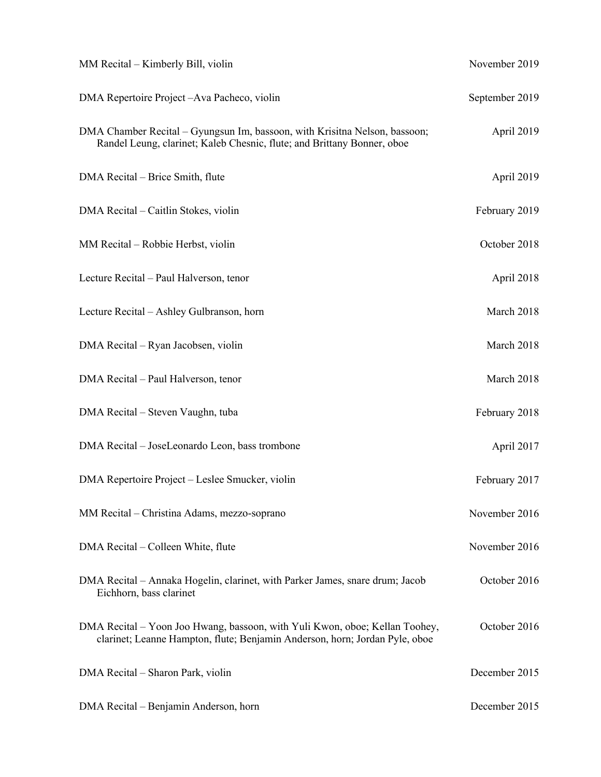| MM Recital – Kimberly Bill, violin                                                                                                                         | November 2019  |
|------------------------------------------------------------------------------------------------------------------------------------------------------------|----------------|
| DMA Repertoire Project-Ava Pacheco, violin                                                                                                                 | September 2019 |
| DMA Chamber Recital – Gyungsun Im, bassoon, with Krisitna Nelson, bassoon;<br>Randel Leung, clarinet; Kaleb Chesnic, flute; and Brittany Bonner, oboe      | April 2019     |
| DMA Recital – Brice Smith, flute                                                                                                                           | April 2019     |
| DMA Recital – Caitlin Stokes, violin                                                                                                                       | February 2019  |
| MM Recital - Robbie Herbst, violin                                                                                                                         | October 2018   |
| Lecture Recital - Paul Halverson, tenor                                                                                                                    | April 2018     |
| Lecture Recital – Ashley Gulbranson, horn                                                                                                                  | March 2018     |
| DMA Recital – Ryan Jacobsen, violin                                                                                                                        | March 2018     |
| DMA Recital - Paul Halverson, tenor                                                                                                                        | March 2018     |
| DMA Recital – Steven Vaughn, tuba                                                                                                                          | February 2018  |
| DMA Recital - JoseLeonardo Leon, bass trombone                                                                                                             | April 2017     |
| DMA Repertoire Project – Leslee Smucker, violin                                                                                                            | February 2017  |
| MM Recital – Christina Adams, mezzo-soprano                                                                                                                | November 2016  |
| DMA Recital – Colleen White, flute                                                                                                                         | November 2016  |
| DMA Recital - Annaka Hogelin, clarinet, with Parker James, snare drum; Jacob<br>Eichhorn, bass clarinet                                                    | October 2016   |
| DMA Recital – Yoon Joo Hwang, bassoon, with Yuli Kwon, oboe; Kellan Toohey,<br>clarinet; Leanne Hampton, flute; Benjamin Anderson, horn; Jordan Pyle, oboe | October 2016   |
| DMA Recital – Sharon Park, violin                                                                                                                          | December 2015  |
| DMA Recital – Benjamin Anderson, horn                                                                                                                      | December 2015  |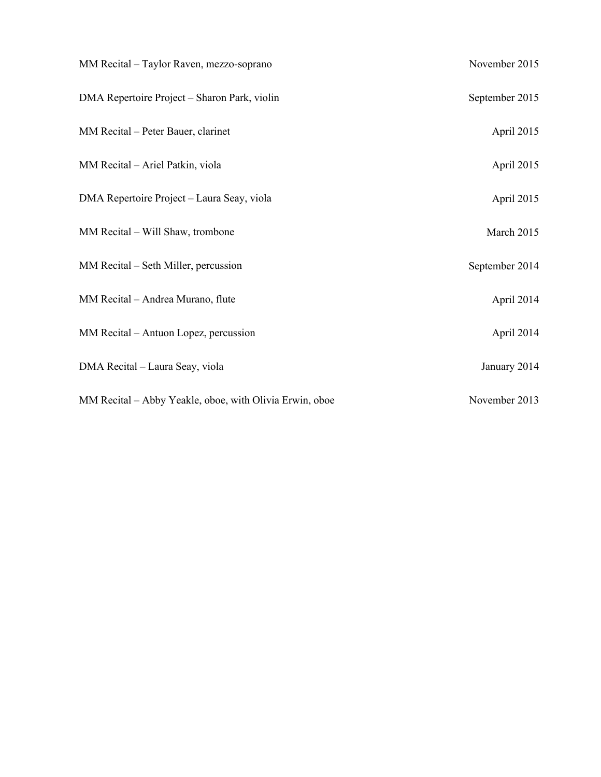| MM Recital - Taylor Raven, mezzo-soprano                | November 2015  |
|---------------------------------------------------------|----------------|
| DMA Repertoire Project – Sharon Park, violin            | September 2015 |
| MM Recital - Peter Bauer, clarinet                      | April 2015     |
| MM Recital - Ariel Patkin, viola                        | April 2015     |
| DMA Repertoire Project - Laura Seay, viola              | April 2015     |
| MM Recital - Will Shaw, trombone                        | March 2015     |
| MM Recital - Seth Miller, percussion                    | September 2014 |
| MM Recital - Andrea Murano, flute                       | April 2014     |
| MM Recital – Antuon Lopez, percussion                   | April 2014     |
| DMA Recital - Laura Seay, viola                         | January 2014   |
| MM Recital - Abby Yeakle, oboe, with Olivia Erwin, oboe | November 2013  |